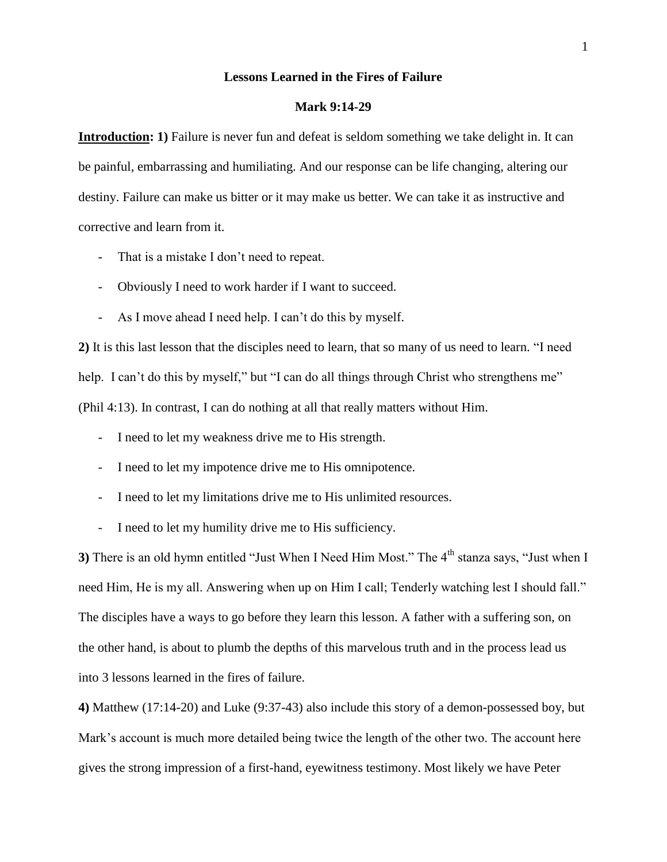## **Lessons Learned in the Fires of Failure**

## **Mark 9:14-29**

**Introduction: 1)** Failure is never fun and defeat is seldom something we take delight in. It can be painful, embarrassing and humiliating. And our response can be life changing, altering our destiny. Failure can make us bitter or it may make us better. We can take it as instructive and corrective and learn from it.

- That is a mistake I don't need to repeat.
- Obviously I need to work harder if I want to succeed.
- As I move ahead I need help. I can't do this by myself.

**2)** It is this last lesson that the disciples need to learn, that so many of us need to learn. "I need help. I can't do this by myself," but "I can do all things through Christ who strengthens me" (Phil 4:13). In contrast, I can do nothing at all that really matters without Him.

- I need to let my weakness drive me to His strength.
- I need to let my impotence drive me to His omnipotence.
- I need to let my limitations drive me to His unlimited resources.
- I need to let my humility drive me to His sufficiency.

**3**) There is an old hymn entitled "Just When I Need Him Most." The 4<sup>th</sup> stanza says, "Just when I need Him, He is my all. Answering when up on Him I call; Tenderly watching lest I should fall." The disciples have a ways to go before they learn this lesson. A father with a suffering son, on the other hand, is about to plumb the depths of this marvelous truth and in the process lead us into 3 lessons learned in the fires of failure.

**4)** Matthew (17:14-20) and Luke (9:37-43) also include this story of a demon-possessed boy, but Mark's account is much more detailed being twice the length of the other two. The account here gives the strong impression of a first-hand, eyewitness testimony. Most likely we have Peter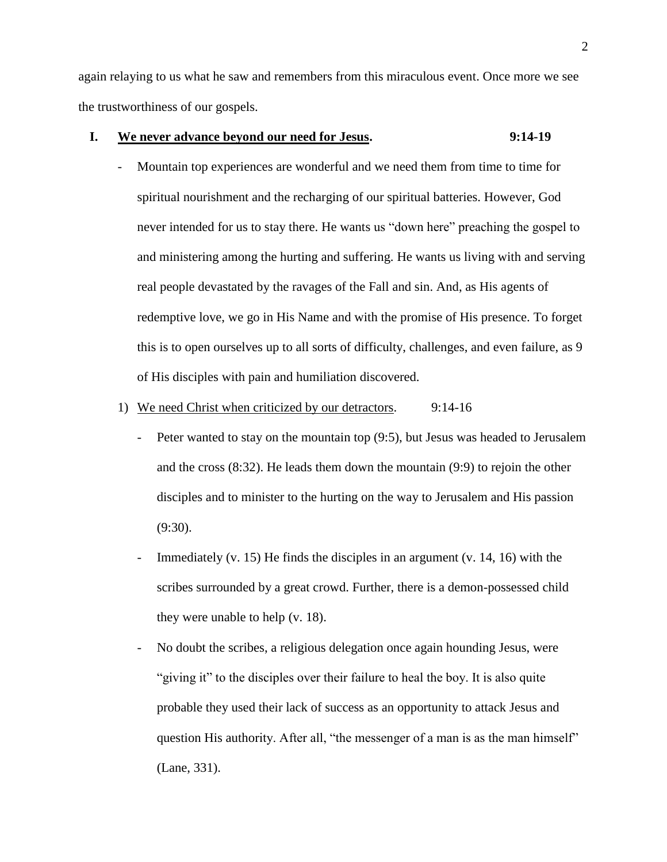again relaying to us what he saw and remembers from this miraculous event. Once more we see the trustworthiness of our gospels.

## **I. We never advance beyond our need for Jesus. 9:14-19**

- Mountain top experiences are wonderful and we need them from time to time for spiritual nourishment and the recharging of our spiritual batteries. However, God never intended for us to stay there. He wants us "down here" preaching the gospel to and ministering among the hurting and suffering. He wants us living with and serving real people devastated by the ravages of the Fall and sin. And, as His agents of redemptive love, we go in His Name and with the promise of His presence. To forget this is to open ourselves up to all sorts of difficulty, challenges, and even failure, as 9 of His disciples with pain and humiliation discovered.
- 1) We need Christ when criticized by our detractors. 9:14-16
	- Peter wanted to stay on the mountain top (9:5), but Jesus was headed to Jerusalem and the cross (8:32). He leads them down the mountain (9:9) to rejoin the other disciples and to minister to the hurting on the way to Jerusalem and His passion  $(9:30)$ .
	- Immediately (v. 15) He finds the disciples in an argument (v. 14, 16) with the scribes surrounded by a great crowd. Further, there is a demon-possessed child they were unable to help (v. 18).
	- No doubt the scribes, a religious delegation once again hounding Jesus, were "giving it" to the disciples over their failure to heal the boy. It is also quite probable they used their lack of success as an opportunity to attack Jesus and question His authority. After all, "the messenger of a man is as the man himself" (Lane, 331).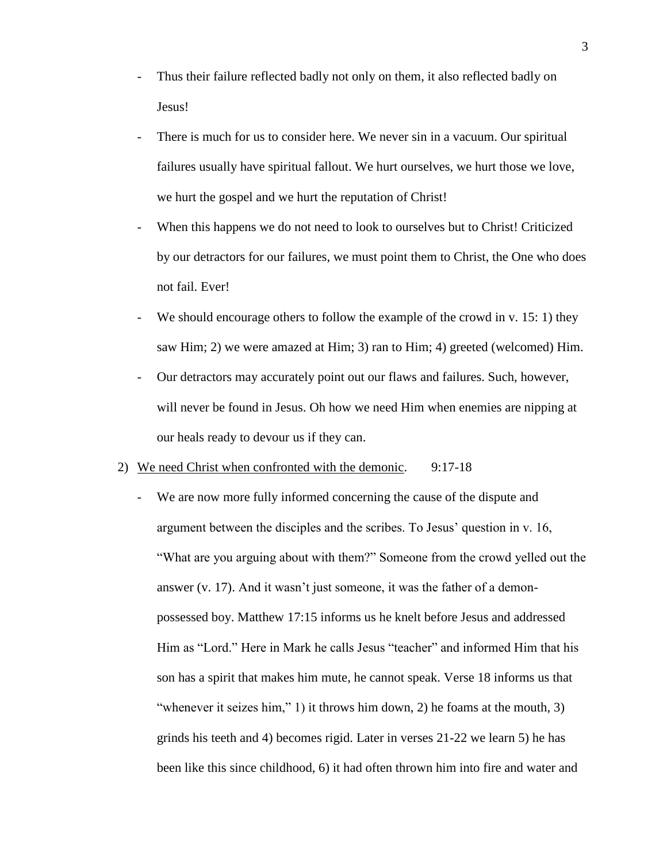- Thus their failure reflected badly not only on them, it also reflected badly on Jesus!
- There is much for us to consider here. We never sin in a vacuum. Our spiritual failures usually have spiritual fallout. We hurt ourselves, we hurt those we love, we hurt the gospel and we hurt the reputation of Christ!
- When this happens we do not need to look to ourselves but to Christ! Criticized by our detractors for our failures, we must point them to Christ, the One who does not fail. Ever!
- We should encourage others to follow the example of the crowd in v. 15: 1) they saw Him; 2) we were amazed at Him; 3) ran to Him; 4) greeted (welcomed) Him.
- Our detractors may accurately point out our flaws and failures. Such, however, will never be found in Jesus. Oh how we need Him when enemies are nipping at our heals ready to devour us if they can.

## 2) We need Christ when confronted with the demonic. 9:17-18

- We are now more fully informed concerning the cause of the dispute and argument between the disciples and the scribes. To Jesus' question in v. 16, "What are you arguing about with them?" Someone from the crowd yelled out the answer (v. 17). And it wasn't just someone, it was the father of a demonpossessed boy. Matthew 17:15 informs us he knelt before Jesus and addressed Him as "Lord." Here in Mark he calls Jesus "teacher" and informed Him that his son has a spirit that makes him mute, he cannot speak. Verse 18 informs us that "whenever it seizes him," 1) it throws him down, 2) he foams at the mouth, 3) grinds his teeth and 4) becomes rigid. Later in verses 21-22 we learn 5) he has been like this since childhood, 6) it had often thrown him into fire and water and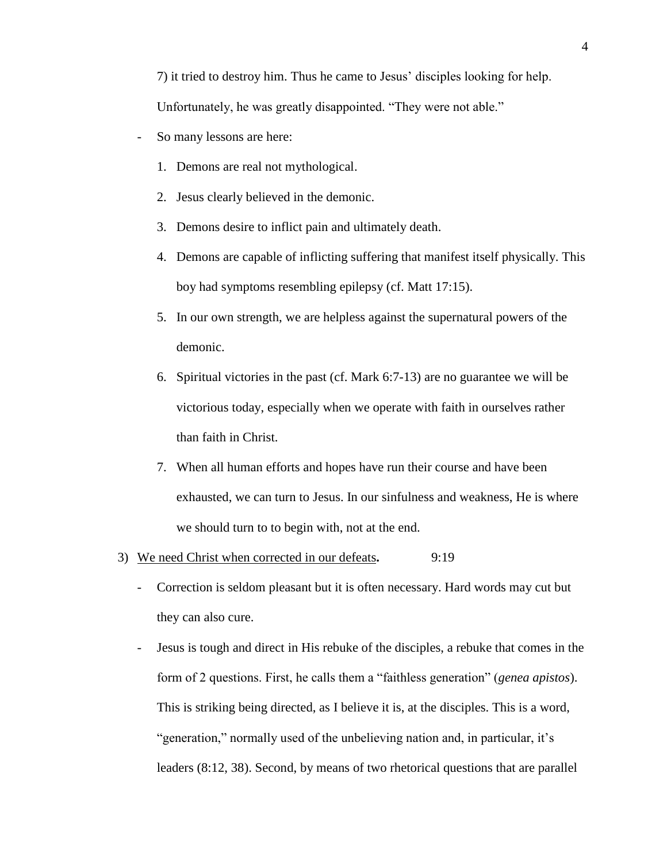7) it tried to destroy him. Thus he came to Jesus' disciples looking for help. Unfortunately, he was greatly disappointed. "They were not able."

- So many lessons are here:
	- 1. Demons are real not mythological.
	- 2. Jesus clearly believed in the demonic.
	- 3. Demons desire to inflict pain and ultimately death.
	- 4. Demons are capable of inflicting suffering that manifest itself physically. This boy had symptoms resembling epilepsy (cf. Matt 17:15).
	- 5. In our own strength, we are helpless against the supernatural powers of the demonic.
	- 6. Spiritual victories in the past (cf. Mark 6:7-13) are no guarantee we will be victorious today, especially when we operate with faith in ourselves rather than faith in Christ.
	- 7. When all human efforts and hopes have run their course and have been exhausted, we can turn to Jesus. In our sinfulness and weakness, He is where we should turn to to begin with, not at the end.
- 3) We need Christ when corrected in our defeats**.** 9:19
	- Correction is seldom pleasant but it is often necessary. Hard words may cut but they can also cure.
	- Jesus is tough and direct in His rebuke of the disciples, a rebuke that comes in the form of 2 questions. First, he calls them a "faithless generation" (*genea apistos*). This is striking being directed, as I believe it is, at the disciples. This is a word, "generation," normally used of the unbelieving nation and, in particular, it's leaders (8:12, 38). Second, by means of two rhetorical questions that are parallel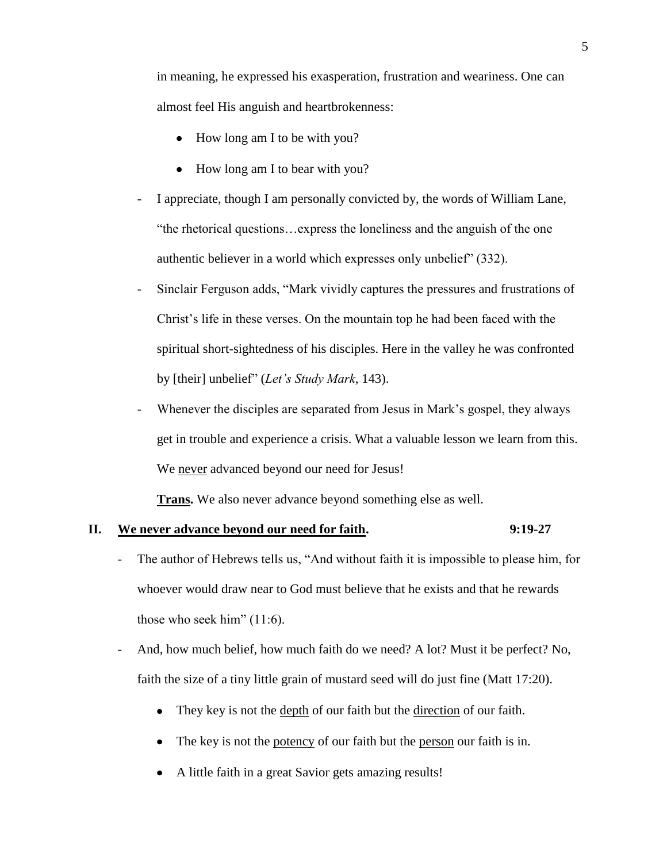in meaning, he expressed his exasperation, frustration and weariness. One can almost feel His anguish and heartbrokenness:

- How long am I to be with you?
- How long am I to bear with you?
- I appreciate, though I am personally convicted by, the words of William Lane, "the rhetorical questions…express the loneliness and the anguish of the one authentic believer in a world which expresses only unbelief" (332).
- Sinclair Ferguson adds, "Mark vividly captures the pressures and frustrations of Christ's life in these verses. On the mountain top he had been faced with the spiritual short-sightedness of his disciples. Here in the valley he was confronted by [their] unbelief" (*Let's Study Mark*, 143).
- Whenever the disciples are separated from Jesus in Mark's gospel, they always get in trouble and experience a crisis. What a valuable lesson we learn from this. We never advanced beyond our need for Jesus!

**Trans.** We also never advance beyond something else as well.

## **II. We never advance beyond our need for faith. 9:19-27**

- The author of Hebrews tells us, "And without faith it is impossible to please him, for whoever would draw near to God must believe that he exists and that he rewards those who seek him" (11:6).
- And, how much belief, how much faith do we need? A lot? Must it be perfect? No, faith the size of a tiny little grain of mustard seed will do just fine (Matt 17:20).
	- They key is not the depth of our faith but the direction of our faith.
	- $\bullet$ The key is not the <u>potency</u> of our faith but the <u>person</u> our faith is in.
	- A little faith in a great Savior gets amazing results!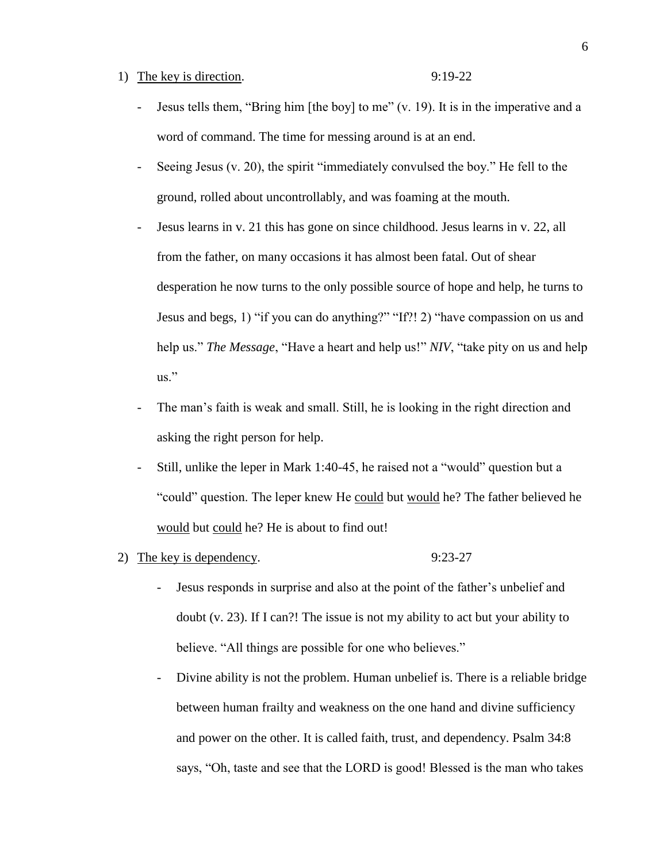## 1) The key is direction. 9:19-22

- Jesus tells them, "Bring him [the boy] to me" (v. 19). It is in the imperative and a word of command. The time for messing around is at an end.
- Seeing Jesus (v. 20), the spirit "immediately convulsed the boy." He fell to the ground, rolled about uncontrollably, and was foaming at the mouth.
- Jesus learns in v. 21 this has gone on since childhood. Jesus learns in v. 22, all from the father, on many occasions it has almost been fatal. Out of shear desperation he now turns to the only possible source of hope and help, he turns to Jesus and begs, 1) "if you can do anything?" "If?! 2) "have compassion on us and help us." *The Message*, "Have a heart and help us!" *NIV*, "take pity on us and help us."
- The man's faith is weak and small. Still, he is looking in the right direction and asking the right person for help.
- Still, unlike the leper in Mark 1:40-45, he raised not a "would" question but a "could" question. The leper knew He could but would he? The father believed he would but could he? He is about to find out!
- 2) The key is dependency. 9:23-27

- Jesus responds in surprise and also at the point of the father's unbelief and doubt (v. 23). If I can?! The issue is not my ability to act but your ability to believe. "All things are possible for one who believes."
- Divine ability is not the problem. Human unbelief is. There is a reliable bridge between human frailty and weakness on the one hand and divine sufficiency and power on the other. It is called faith, trust, and dependency. Psalm 34:8 says, "Oh, taste and see that the LORD is good! Blessed is the man who takes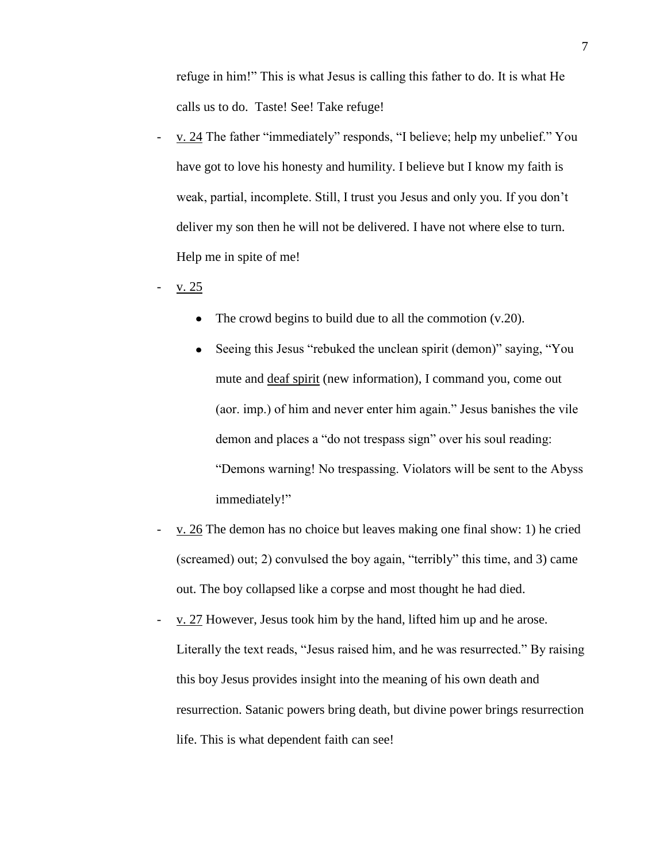refuge in him!" This is what Jesus is calling this father to do. It is what He calls us to do. Taste! See! Take refuge!

- v. 24 The father "immediately" responds, "I believe; help my unbelief." You have got to love his honesty and humility. I believe but I know my faith is weak, partial, incomplete. Still, I trust you Jesus and only you. If you don't deliver my son then he will not be delivered. I have not where else to turn. Help me in spite of me!
- $v. 25$ 
	- The crowd begins to build due to all the commotion (v.20).  $\bullet$
	- Seeing this Jesus "rebuked the unclean spirit (demon)" saying, "You  $\bullet$ mute and deaf spirit (new information), I command you, come out (aor. imp.) of him and never enter him again." Jesus banishes the vile demon and places a "do not trespass sign" over his soul reading: "Demons warning! No trespassing. Violators will be sent to the Abyss immediately!"
- v. 26 The demon has no choice but leaves making one final show: 1) he cried (screamed) out; 2) convulsed the boy again, "terribly" this time, and 3) came out. The boy collapsed like a corpse and most thought he had died.
- v. 27 However, Jesus took him by the hand, lifted him up and he arose. Literally the text reads, "Jesus raised him, and he was resurrected." By raising this boy Jesus provides insight into the meaning of his own death and resurrection. Satanic powers bring death, but divine power brings resurrection life. This is what dependent faith can see!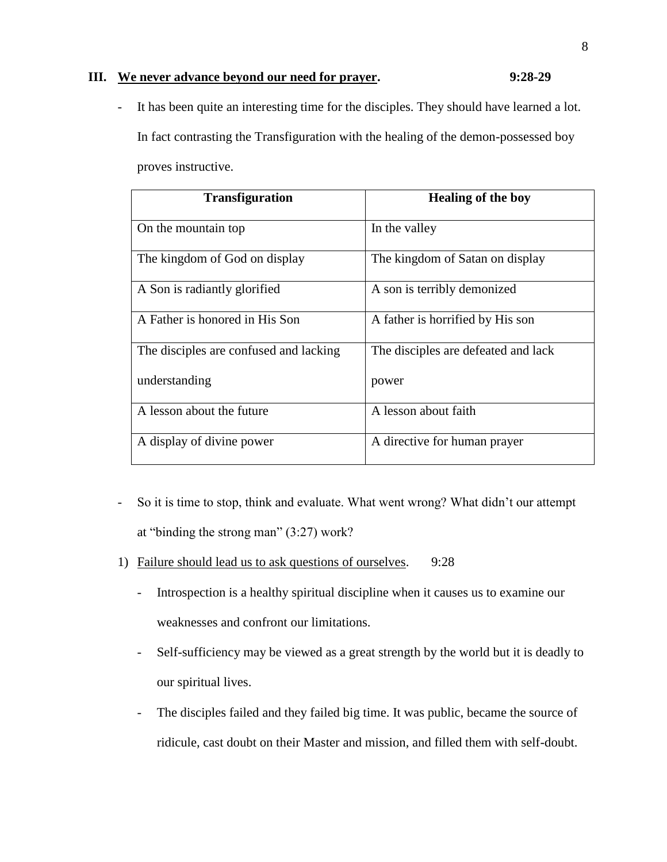# **III. We never advance beyond our need for prayer. 9:28-29**

- It has been quite an interesting time for the disciples. They should have learned a lot. In fact contrasting the Transfiguration with the healing of the demon-possessed boy proves instructive.

| <b>Transfiguration</b>                 | <b>Healing of the boy</b>           |
|----------------------------------------|-------------------------------------|
| On the mountain top                    | In the valley                       |
| The kingdom of God on display          | The kingdom of Satan on display     |
| A Son is radiantly glorified           | A son is terribly demonized         |
| A Father is honored in His Son         | A father is horrified by His son    |
| The disciples are confused and lacking | The disciples are defeated and lack |
| understanding                          | power                               |
| A lesson about the future              | A lesson about faith                |
| A display of divine power              | A directive for human prayer        |

- So it is time to stop, think and evaluate. What went wrong? What didn't our attempt at "binding the strong man" (3:27) work?
- 1) Failure should lead us to ask questions of ourselves. 9:28
	- Introspection is a healthy spiritual discipline when it causes us to examine our weaknesses and confront our limitations.
	- Self-sufficiency may be viewed as a great strength by the world but it is deadly to our spiritual lives.
	- The disciples failed and they failed big time. It was public, became the source of ridicule, cast doubt on their Master and mission, and filled them with self-doubt.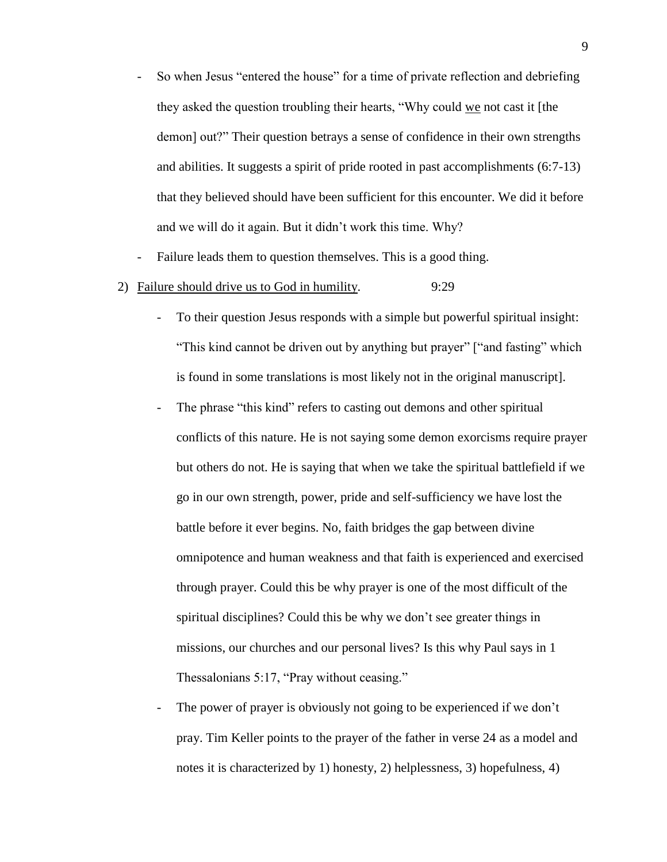- So when Jesus "entered the house" for a time of private reflection and debriefing they asked the question troubling their hearts, "Why could we not cast it [the demon] out?" Their question betrays a sense of confidence in their own strengths and abilities. It suggests a spirit of pride rooted in past accomplishments (6:7-13) that they believed should have been sufficient for this encounter. We did it before and we will do it again. But it didn't work this time. Why?
- Failure leads them to question themselves. This is a good thing.
- 2) Failure should drive us to God in humility. 9:29
	- To their question Jesus responds with a simple but powerful spiritual insight: "This kind cannot be driven out by anything but prayer" ["and fasting" which is found in some translations is most likely not in the original manuscript].
	- The phrase "this kind" refers to casting out demons and other spiritual conflicts of this nature. He is not saying some demon exorcisms require prayer but others do not. He is saying that when we take the spiritual battlefield if we go in our own strength, power, pride and self-sufficiency we have lost the battle before it ever begins. No, faith bridges the gap between divine omnipotence and human weakness and that faith is experienced and exercised through prayer. Could this be why prayer is one of the most difficult of the spiritual disciplines? Could this be why we don't see greater things in missions, our churches and our personal lives? Is this why Paul says in 1 Thessalonians 5:17, "Pray without ceasing."
	- The power of prayer is obviously not going to be experienced if we don't pray. Tim Keller points to the prayer of the father in verse 24 as a model and notes it is characterized by 1) honesty, 2) helplessness, 3) hopefulness, 4)